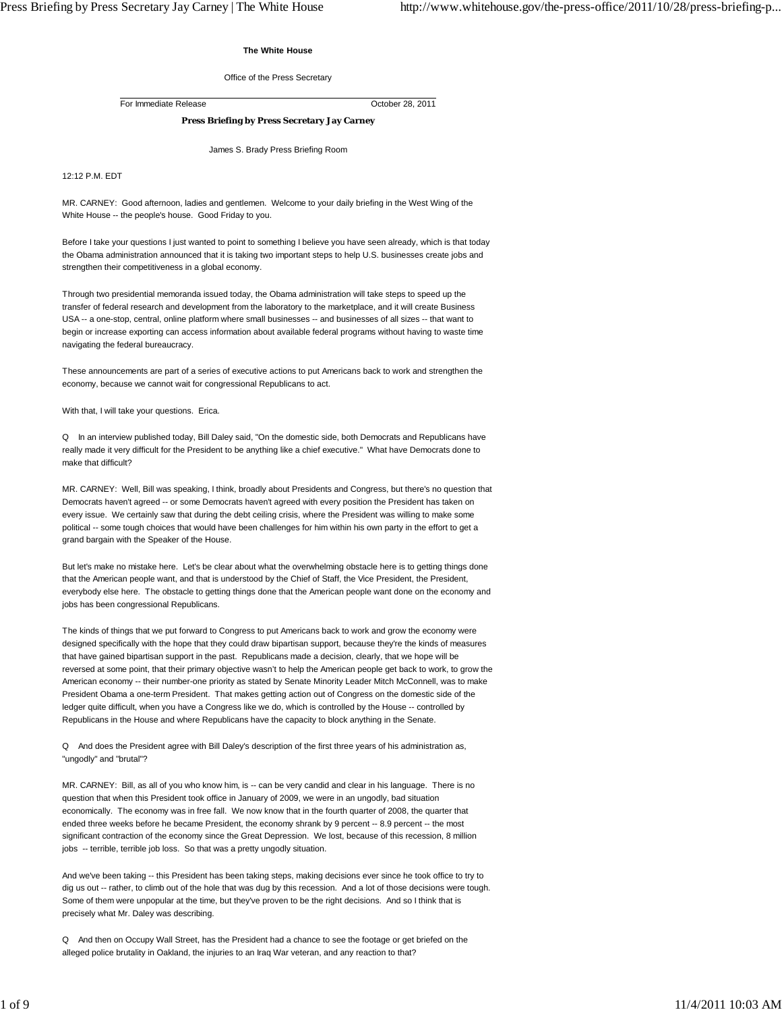#### **The White House**

#### Office of the Press Secretary

For Immediate Release October 28, 2011

# **Press Briefing by Press Secretary Jay Carney**

James S. Brady Press Briefing Room

12:12 P.M. EDT

MR. CARNEY: Good afternoon, ladies and gentlemen. Welcome to your daily briefing in the West Wing of the White House -- the people's house. Good Friday to you.

Before I take your questions I just wanted to point to something I believe you have seen already, which is that today the Obama administration announced that it is taking two important steps to help U.S. businesses create jobs and strengthen their competitiveness in a global economy.

Through two presidential memoranda issued today, the Obama administration will take steps to speed up the transfer of federal research and development from the laboratory to the marketplace, and it will create Business USA -- a one-stop, central, online platform where small businesses -- and businesses of all sizes -- that want to begin or increase exporting can access information about available federal programs without having to waste time navigating the federal bureaucracy.

These announcements are part of a series of executive actions to put Americans back to work and strengthen the economy, because we cannot wait for congressional Republicans to act.

With that, I will take your questions. Erica.

Q In an interview published today, Bill Daley said, "On the domestic side, both Democrats and Republicans have really made it very difficult for the President to be anything like a chief executive." What have Democrats done to make that difficult?

MR. CARNEY: Well, Bill was speaking, I think, broadly about Presidents and Congress, but there's no question that Democrats haven't agreed -- or some Democrats haven't agreed with every position the President has taken on every issue. We certainly saw that during the debt ceiling crisis, where the President was willing to make some political -- some tough choices that would have been challenges for him within his own party in the effort to get a grand bargain with the Speaker of the House.

But let's make no mistake here. Let's be clear about what the overwhelming obstacle here is to getting things done that the American people want, and that is understood by the Chief of Staff, the Vice President, the President, everybody else here. The obstacle to getting things done that the American people want done on the economy and jobs has been congressional Republicans.

The kinds of things that we put forward to Congress to put Americans back to work and grow the economy were designed specifically with the hope that they could draw bipartisan support, because they're the kinds of measures that have gained bipartisan support in the past. Republicans made a decision, clearly, that we hope will be reversed at some point, that their primary objective wasn't to help the American people get back to work, to grow the American economy -- their number-one priority as stated by Senate Minority Leader Mitch McConnell, was to make President Obama a one-term President. That makes getting action out of Congress on the domestic side of the ledger quite difficult, when you have a Congress like we do, which is controlled by the House -- controlled by Republicans in the House and where Republicans have the capacity to block anything in the Senate.

Q And does the President agree with Bill Daley's description of the first three years of his administration as, "ungodly" and "brutal"?

MR. CARNEY: Bill, as all of you who know him, is -- can be very candid and clear in his language. There is no question that when this President took office in January of 2009, we were in an ungodly, bad situation economically. The economy was in free fall. We now know that in the fourth quarter of 2008, the quarter that ended three weeks before he became President, the economy shrank by 9 percent -- 8.9 percent -- the most significant contraction of the economy since the Great Depression. We lost, because of this recession, 8 million jobs -- terrible, terrible job loss. So that was a pretty ungodly situation.

And we've been taking -- this President has been taking steps, making decisions ever since he took office to try to dig us out -- rather, to climb out of the hole that was dug by this recession. And a lot of those decisions were tough. Some of them were unpopular at the time, but they've proven to be the right decisions. And so I think that is precisely what Mr. Daley was describing.

Q And then on Occupy Wall Street, has the President had a chance to see the footage or get briefed on the alleged police brutality in Oakland, the injuries to an Iraq War veteran, and any reaction to that?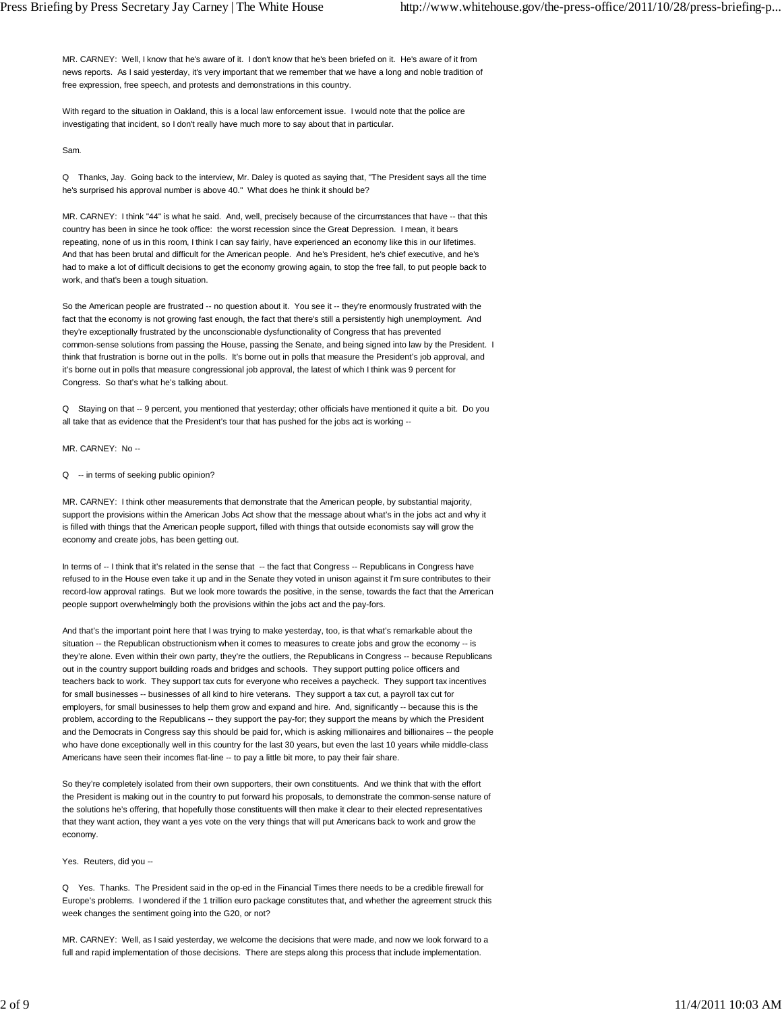MR. CARNEY: Well, I know that he's aware of it. I don't know that he's been briefed on it. He's aware of it from news reports. As I said yesterday, it's very important that we remember that we have a long and noble tradition of free expression, free speech, and protests and demonstrations in this country.

With regard to the situation in Oakland, this is a local law enforcement issue. I would note that the police are investigating that incident, so I don't really have much more to say about that in particular.

Sam.

Q Thanks, Jay. Going back to the interview, Mr. Daley is quoted as saying that, "The President says all the time he's surprised his approval number is above 40." What does he think it should be?

MR. CARNEY: I think "44" is what he said. And, well, precisely because of the circumstances that have -- that this country has been in since he took office: the worst recession since the Great Depression. I mean, it bears repeating, none of us in this room, I think I can say fairly, have experienced an economy like this in our lifetimes. And that has been brutal and difficult for the American people. And he's President, he's chief executive, and he's had to make a lot of difficult decisions to get the economy growing again, to stop the free fall, to put people back to work, and that's been a tough situation.

So the American people are frustrated -- no question about it. You see it -- they're enormously frustrated with the fact that the economy is not growing fast enough, the fact that there's still a persistently high unemployment. And they're exceptionally frustrated by the unconscionable dysfunctionality of Congress that has prevented common-sense solutions from passing the House, passing the Senate, and being signed into law by the President. I think that frustration is borne out in the polls. It's borne out in polls that measure the President's job approval, and it's borne out in polls that measure congressional job approval, the latest of which I think was 9 percent for Congress. So that's what he's talking about.

Q Staying on that -- 9 percent, you mentioned that yesterday; other officials have mentioned it quite a bit. Do you all take that as evidence that the President's tour that has pushed for the jobs act is working --

MR. CARNEY: No --

Q -- in terms of seeking public opinion?

MR. CARNEY: I think other measurements that demonstrate that the American people, by substantial majority, support the provisions within the American Jobs Act show that the message about what's in the jobs act and why it is filled with things that the American people support, filled with things that outside economists say will grow the economy and create jobs, has been getting out.

In terms of -- I think that it's related in the sense that -- the fact that Congress -- Republicans in Congress have refused to in the House even take it up and in the Senate they voted in unison against it I'm sure contributes to their record-low approval ratings. But we look more towards the positive, in the sense, towards the fact that the American people support overwhelmingly both the provisions within the jobs act and the pay-fors.

And that's the important point here that I was trying to make yesterday, too, is that what's remarkable about the situation -- the Republican obstructionism when it comes to measures to create jobs and grow the economy -- is they're alone. Even within their own party, they're the outliers, the Republicans in Congress -- because Republicans out in the country support building roads and bridges and schools. They support putting police officers and teachers back to work. They support tax cuts for everyone who receives a paycheck. They support tax incentives for small businesses -- businesses of all kind to hire veterans. They support a tax cut, a payroll tax cut for employers, for small businesses to help them grow and expand and hire. And, significantly -- because this is the problem, according to the Republicans -- they support the pay-for; they support the means by which the President and the Democrats in Congress say this should be paid for, which is asking millionaires and billionaires -- the people who have done exceptionally well in this country for the last 30 years, but even the last 10 years while middle-class Americans have seen their incomes flat-line -- to pay a little bit more, to pay their fair share.

So they're completely isolated from their own supporters, their own constituents. And we think that with the effort the President is making out in the country to put forward his proposals, to demonstrate the common-sense nature of the solutions he's offering, that hopefully those constituents will then make it clear to their elected representatives that they want action, they want a yes vote on the very things that will put Americans back to work and grow the economy.

Yes. Reuters, did you --

Q Yes. Thanks. The President said in the op-ed in the Financial Times there needs to be a credible firewall for Europe's problems. I wondered if the 1 trillion euro package constitutes that, and whether the agreement struck this week changes the sentiment going into the G20, or not?

MR. CARNEY: Well, as I said yesterday, we welcome the decisions that were made, and now we look forward to a full and rapid implementation of those decisions. There are steps along this process that include implementation.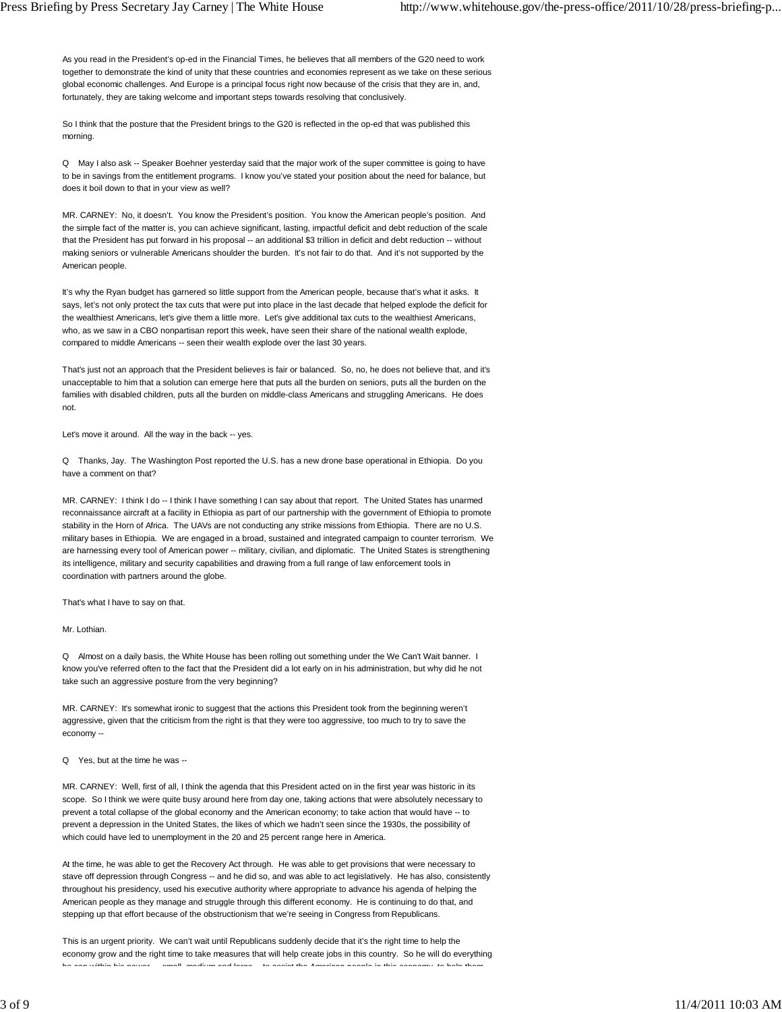As you read in the President's op-ed in the Financial Times, he believes that all members of the G20 need to work together to demonstrate the kind of unity that these countries and economies represent as we take on these serious global economic challenges. And Europe is a principal focus right now because of the crisis that they are in, and, fortunately, they are taking welcome and important steps towards resolving that conclusively.

So I think that the posture that the President brings to the G20 is reflected in the op-ed that was published this morning.

Q May I also ask -- Speaker Boehner yesterday said that the major work of the super committee is going to have to be in savings from the entitlement programs. I know you've stated your position about the need for balance, but does it boil down to that in your view as well?

MR. CARNEY: No, it doesn't. You know the President's position. You know the American people's position. And the simple fact of the matter is, you can achieve significant, lasting, impactful deficit and debt reduction of the scale that the President has put forward in his proposal -- an additional \$3 trillion in deficit and debt reduction -- without making seniors or vulnerable Americans shoulder the burden. It's not fair to do that. And it's not supported by the American people.

It's why the Ryan budget has garnered so little support from the American people, because that's what it asks. It says, let's not only protect the tax cuts that were put into place in the last decade that helped explode the deficit for the wealthiest Americans, let's give them a little more. Let's give additional tax cuts to the wealthiest Americans, who, as we saw in a CBO nonpartisan report this week, have seen their share of the national wealth explode, compared to middle Americans -- seen their wealth explode over the last 30 years.

That's just not an approach that the President believes is fair or balanced. So, no, he does not believe that, and it's unacceptable to him that a solution can emerge here that puts all the burden on seniors, puts all the burden on the families with disabled children, puts all the burden on middle-class Americans and struggling Americans. He does not.

Let's move it around. All the way in the back -- yes.

Q Thanks, Jay. The Washington Post reported the U.S. has a new drone base operational in Ethiopia. Do you have a comment on that?

MR. CARNEY: I think I do -- I think I have something I can say about that report. The United States has unarmed reconnaissance aircraft at a facility in Ethiopia as part of our partnership with the government of Ethiopia to promote stability in the Horn of Africa. The UAVs are not conducting any strike missions from Ethiopia. There are no U.S. military bases in Ethiopia. We are engaged in a broad, sustained and integrated campaign to counter terrorism. We are harnessing every tool of American power -- military, civilian, and diplomatic. The United States is strengthening its intelligence, military and security capabilities and drawing from a full range of law enforcement tools in coordination with partners around the globe.

That's what I have to say on that.

Mr. Lothian.

Q Almost on a daily basis, the White House has been rolling out something under the We Can't Wait banner. I know you've referred often to the fact that the President did a lot early on in his administration, but why did he not take such an aggressive posture from the very beginning?

MR. CARNEY: It's somewhat ironic to suggest that the actions this President took from the beginning weren't aggressive, given that the criticism from the right is that they were too aggressive, too much to try to save the economy --

Q Yes, but at the time he was --

MR. CARNEY: Well, first of all, I think the agenda that this President acted on in the first year was historic in its scope. So I think we were quite busy around here from day one, taking actions that were absolutely necessary to prevent a total collapse of the global economy and the American economy; to take action that would have -- to prevent a depression in the United States, the likes of which we hadn't seen since the 1930s, the possibility of which could have led to unemployment in the 20 and 25 percent range here in America.

At the time, he was able to get the Recovery Act through. He was able to get provisions that were necessary to stave off depression through Congress -- and he did so, and was able to act legislatively. He has also, consistently throughout his presidency, used his executive authority where appropriate to advance his agenda of helping the American people as they manage and struggle through this different economy. He is continuing to do that, and stepping up that effort because of the obstructionism that we're seeing in Congress from Republicans.

This is an urgent priority. We can't wait until Republicans suddenly decide that it's the right time to help the economy grow and the right time to take measures that will help create jobs in this country. So he will do everything<br>he can within his neuron comell, modium and large the secient the American poorls in this concerns to he he can within his power small medium and large to assist the American people in this economy to help them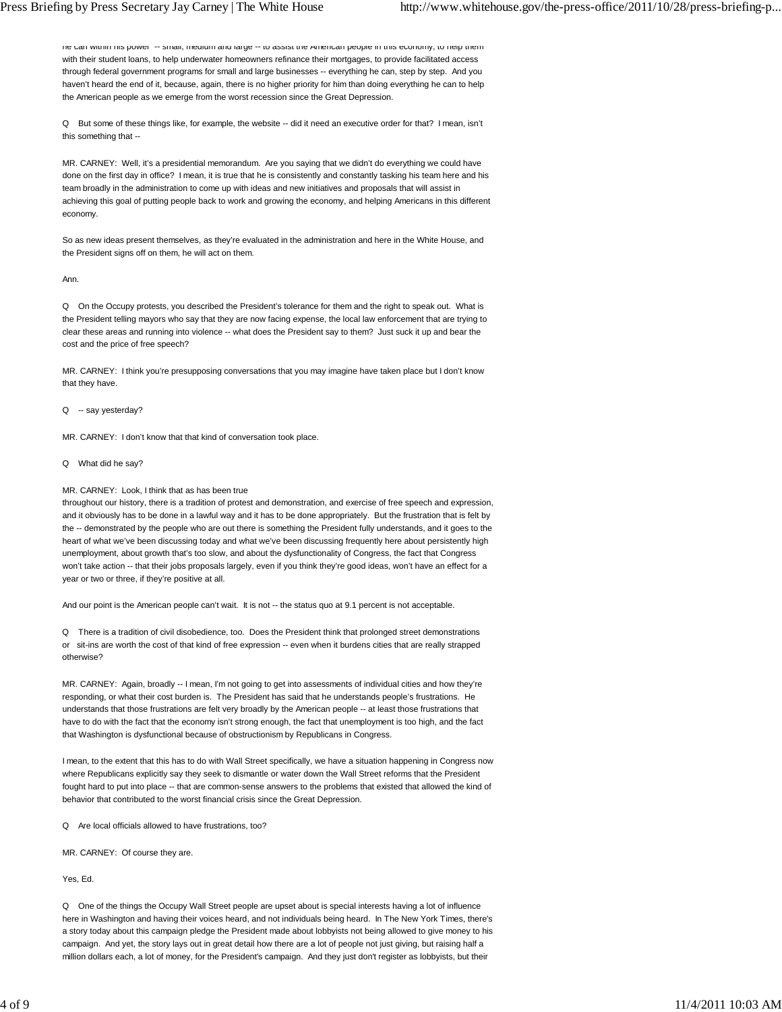he can within his power -- small, medium and large -- to assist the American people in this economy, to help them with their student loans, to help underwater homeowners refinance their mortgages, to provide facilitated access through federal government programs for small and large businesses -- everything he can, step by step. And you haven't heard the end of it, because, again, there is no higher priority for him than doing everything he can to help the American people as we emerge from the worst recession since the Great Depression.

Q But some of these things like, for example, the website -- did it need an executive order for that? I mean, isn't this something that --

MR. CARNEY: Well, it's a presidential memorandum. Are you saying that we didn't do everything we could have done on the first day in office? I mean, it is true that he is consistently and constantly tasking his team here and his team broadly in the administration to come up with ideas and new initiatives and proposals that will assist in achieving this goal of putting people back to work and growing the economy, and helping Americans in this different economy.

So as new ideas present themselves, as they're evaluated in the administration and here in the White House, and the President signs off on them, he will act on them.

# Ann.

Q On the Occupy protests, you described the President's tolerance for them and the right to speak out. What is the President telling mayors who say that they are now facing expense, the local law enforcement that are trying to clear these areas and running into violence -- what does the President say to them? Just suck it up and bear the cost and the price of free speech?

MR. CARNEY: I think you're presupposing conversations that you may imagine have taken place but I don't know that they have.

Q -- say yesterday?

MR. CARNEY: I don't know that that kind of conversation took place.

Q What did he say?

### MR. CARNEY: Look, I think that as has been true

throughout our history, there is a tradition of protest and demonstration, and exercise of free speech and expression, and it obviously has to be done in a lawful way and it has to be done appropriately. But the frustration that is felt by the -- demonstrated by the people who are out there is something the President fully understands, and it goes to the heart of what we've been discussing today and what we've been discussing frequently here about persistently high unemployment, about growth that's too slow, and about the dysfunctionality of Congress, the fact that Congress won't take action -- that their jobs proposals largely, even if you think they're good ideas, won't have an effect for a year or two or three, if they're positive at all.

And our point is the American people can't wait. It is not -- the status quo at 9.1 percent is not acceptable.

Q There is a tradition of civil disobedience, too. Does the President think that prolonged street demonstrations or sit-ins are worth the cost of that kind of free expression -- even when it burdens cities that are really strapped otherwise?

MR. CARNEY: Again, broadly -- I mean, I'm not going to get into assessments of individual cities and how they're responding, or what their cost burden is. The President has said that he understands people's frustrations. He understands that those frustrations are felt very broadly by the American people -- at least those frustrations that have to do with the fact that the economy isn't strong enough, the fact that unemployment is too high, and the fact that Washington is dysfunctional because of obstructionism by Republicans in Congress.

I mean, to the extent that this has to do with Wall Street specifically, we have a situation happening in Congress now where Republicans explicitly say they seek to dismantle or water down the Wall Street reforms that the President fought hard to put into place -- that are common-sense answers to the problems that existed that allowed the kind of behavior that contributed to the worst financial crisis since the Great Depression.

Q Are local officials allowed to have frustrations, too?

MR. CARNEY: Of course they are.

Yes, Ed.

Q One of the things the Occupy Wall Street people are upset about is special interests having a lot of influence here in Washington and having their voices heard, and not individuals being heard. In The New York Times, there's a story today about this campaign pledge the President made about lobbyists not being allowed to give money to his campaign. And yet, the story lays out in great detail how there are a lot of people not just giving, but raising half a million dollars each, a lot of money, for the President's campaign. And they just don't register as lobbyists, but their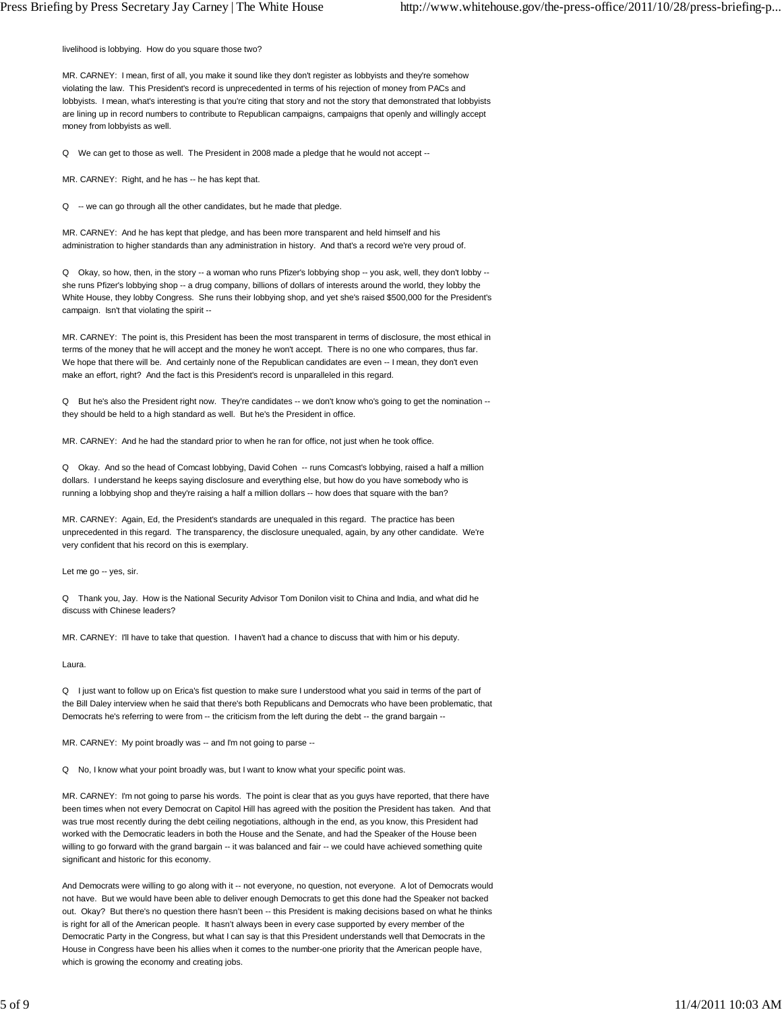livelihood is lobbying. How do you square those two?

MR. CARNEY: I mean, first of all, you make it sound like they don't register as lobbyists and they're somehow violating the law. This President's record is unprecedented in terms of his rejection of money from PACs and lobbyists. I mean, what's interesting is that you're citing that story and not the story that demonstrated that lobbyists are lining up in record numbers to contribute to Republican campaigns, campaigns that openly and willingly accept money from lobbyists as well.

Q We can get to those as well. The President in 2008 made a pledge that he would not accept --

MR. CARNEY: Right, and he has -- he has kept that.

Q -- we can go through all the other candidates, but he made that pledge.

MR. CARNEY: And he has kept that pledge, and has been more transparent and held himself and his administration to higher standards than any administration in history. And that's a record we're very proud of.

Q Okay, so how, then, in the story -- a woman who runs Pfizer's lobbying shop -- you ask, well, they don't lobby - she runs Pfizer's lobbying shop -- a drug company, billions of dollars of interests around the world, they lobby the White House, they lobby Congress. She runs their lobbying shop, and yet she's raised \$500,000 for the President's campaign. Isn't that violating the spirit --

MR. CARNEY: The point is, this President has been the most transparent in terms of disclosure, the most ethical in terms of the money that he will accept and the money he won't accept. There is no one who compares, thus far. We hope that there will be. And certainly none of the Republican candidates are even -- I mean, they don't even make an effort, right? And the fact is this President's record is unparalleled in this regard.

Q But he's also the President right now. They're candidates -- we don't know who's going to get the nomination -they should be held to a high standard as well. But he's the President in office.

MR. CARNEY: And he had the standard prior to when he ran for office, not just when he took office.

Q Okay. And so the head of Comcast lobbying, David Cohen -- runs Comcast's lobbying, raised a half a million dollars. I understand he keeps saying disclosure and everything else, but how do you have somebody who is running a lobbying shop and they're raising a half a million dollars -- how does that square with the ban?

MR. CARNEY: Again, Ed, the President's standards are unequaled in this regard. The practice has been unprecedented in this regard. The transparency, the disclosure unequaled, again, by any other candidate. We're very confident that his record on this is exemplary.

Let me go -- yes, sir.

Q Thank you, Jay. How is the National Security Advisor Tom Donilon visit to China and India, and what did he discuss with Chinese leaders?

MR. CARNEY: I'll have to take that question. I haven't had a chance to discuss that with him or his deputy.

Laura.

Q I just want to follow up on Erica's fist question to make sure I understood what you said in terms of the part of the Bill Daley interview when he said that there's both Republicans and Democrats who have been problematic, that Democrats he's referring to were from -- the criticism from the left during the debt -- the grand bargain --

MR. CARNEY: My point broadly was -- and I'm not going to parse --

Q No, I know what your point broadly was, but I want to know what your specific point was.

MR. CARNEY: I'm not going to parse his words. The point is clear that as you guys have reported, that there have been times when not every Democrat on Capitol Hill has agreed with the position the President has taken. And that was true most recently during the debt ceiling negotiations, although in the end, as you know, this President had worked with the Democratic leaders in both the House and the Senate, and had the Speaker of the House been willing to go forward with the grand bargain -- it was balanced and fair -- we could have achieved something quite significant and historic for this economy.

And Democrats were willing to go along with it -- not everyone, no question, not everyone. A lot of Democrats would not have. But we would have been able to deliver enough Democrats to get this done had the Speaker not backed out. Okay? But there's no question there hasn't been -- this President is making decisions based on what he thinks is right for all of the American people. It hasn't always been in every case supported by every member of the Democratic Party in the Congress, but what I can say is that this President understands well that Democrats in the House in Congress have been his allies when it comes to the number-one priority that the American people have, which is growing the economy and creating jobs.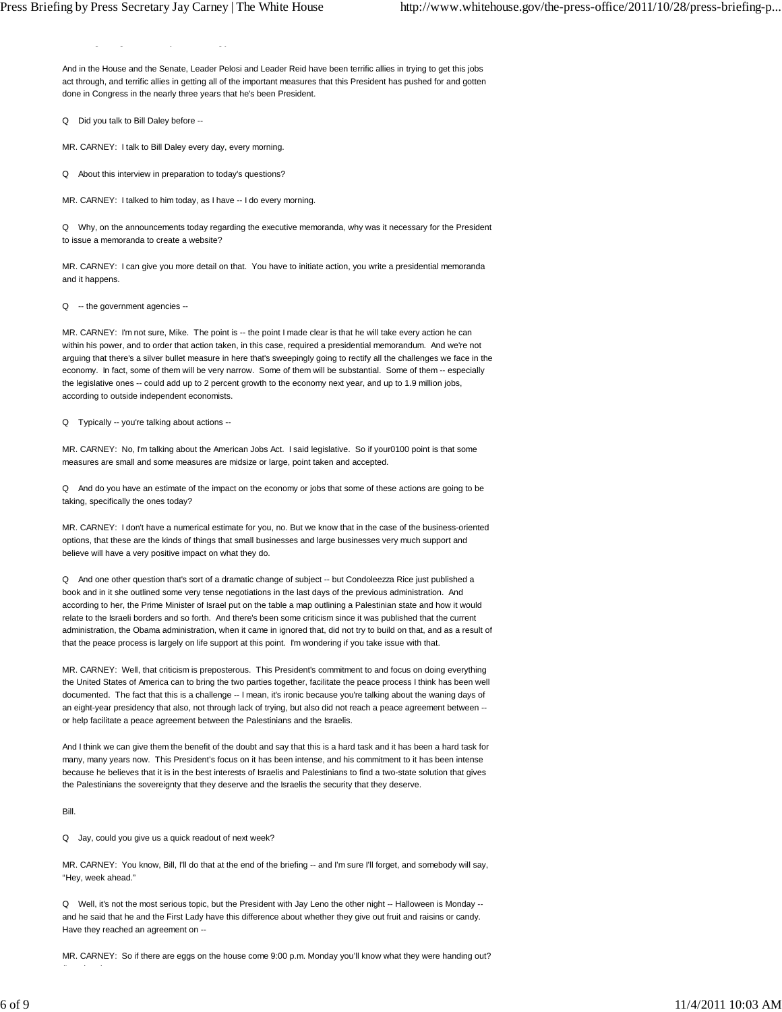g g y gj

And in the House and the Senate, Leader Pelosi and Leader Reid have been terrific allies in trying to get this jobs act through, and terrific allies in getting all of the important measures that this President has pushed for and gotten done in Congress in the nearly three years that he's been President.

Q Did you talk to Bill Daley before --

MR. CARNEY: I talk to Bill Daley every day, every morning.

Q About this interview in preparation to today's questions?

MR. CARNEY: I talked to him today, as I have -- I do every morning.

Q Why, on the announcements today regarding the executive memoranda, why was it necessary for the President to issue a memoranda to create a website?

MR. CARNEY: I can give you more detail on that. You have to initiate action, you write a presidential memoranda and it happens.

Q -- the government agencies --

MR. CARNEY: I'm not sure, Mike. The point is -- the point I made clear is that he will take every action he can within his power, and to order that action taken, in this case, required a presidential memorandum. And we're not arguing that there's a silver bullet measure in here that's sweepingly going to rectify all the challenges we face in the economy. In fact, some of them will be very narrow. Some of them will be substantial. Some of them -- especially the legislative ones -- could add up to 2 percent growth to the economy next year, and up to 1.9 million jobs, according to outside independent economists.

Q Typically -- you're talking about actions --

MR. CARNEY: No, I'm talking about the American Jobs Act. I said legislative. So if your0100 point is that some measures are small and some measures are midsize or large, point taken and accepted.

Q And do you have an estimate of the impact on the economy or jobs that some of these actions are going to be taking, specifically the ones today?

MR. CARNEY: I don't have a numerical estimate for you, no. But we know that in the case of the business-oriented options, that these are the kinds of things that small businesses and large businesses very much support and believe will have a very positive impact on what they do.

Q And one other question that's sort of a dramatic change of subject -- but Condoleezza Rice just published a book and in it she outlined some very tense negotiations in the last days of the previous administration. And according to her, the Prime Minister of Israel put on the table a map outlining a Palestinian state and how it would relate to the Israeli borders and so forth. And there's been some criticism since it was published that the current administration, the Obama administration, when it came in ignored that, did not try to build on that, and as a result of that the peace process is largely on life support at this point. I'm wondering if you take issue with that.

MR. CARNEY: Well, that criticism is preposterous. This President's commitment to and focus on doing everything the United States of America can to bring the two parties together, facilitate the peace process I think has been well documented. The fact that this is a challenge -- I mean, it's ironic because you're talking about the waning days of an eight-year presidency that also, not through lack of trying, but also did not reach a peace agreement between - or help facilitate a peace agreement between the Palestinians and the Israelis.

And I think we can give them the benefit of the doubt and say that this is a hard task and it has been a hard task for many, many years now. This President's focus on it has been intense, and his commitment to it has been intense because he believes that it is in the best interests of Israelis and Palestinians to find a two-state solution that gives the Palestinians the sovereignty that they deserve and the Israelis the security that they deserve.

Bill.

(L h )

Q Jay, could you give us a quick readout of next week?

MR. CARNEY: You know, Bill, I'll do that at the end of the briefing -- and I'm sure I'll forget, and somebody will say, "Hey, week ahead."

Q Well, it's not the most serious topic, but the President with Jay Leno the other night -- Halloween is Monday - and he said that he and the First Lady have this difference about whether they give out fruit and raisins or candy. Have they reached an agreement on --

MR. CARNEY: So if there are eggs on the house come 9:00 p.m. Monday you'll know what they were handing out?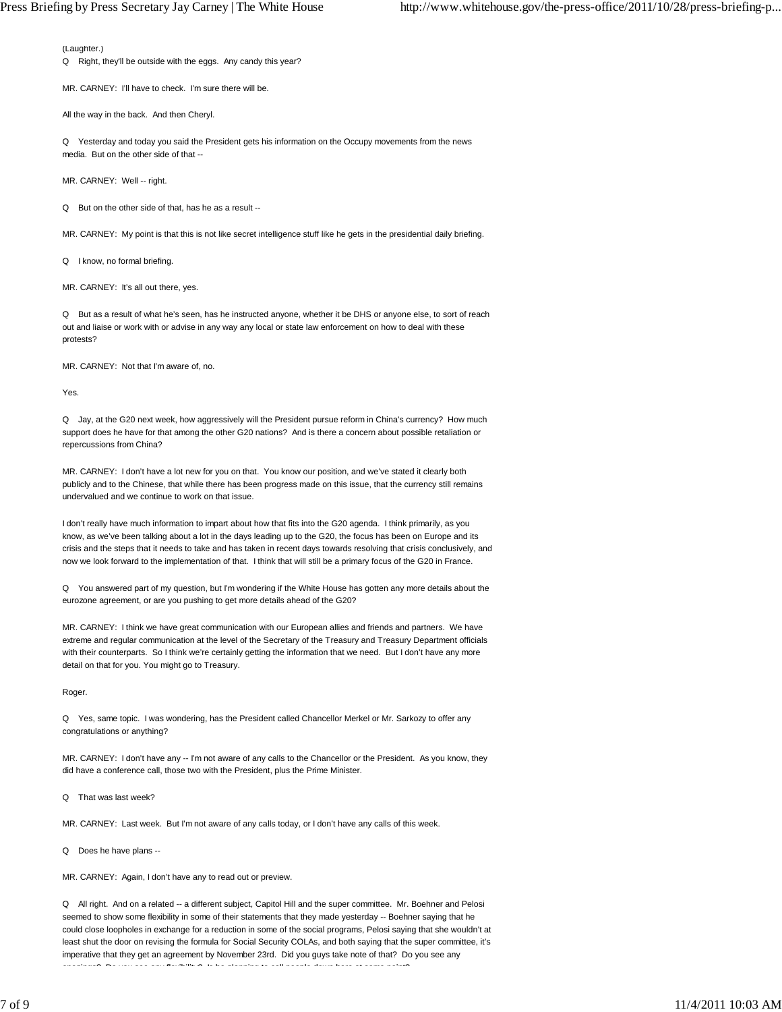(Laughter.)

Q Right, they'll be outside with the eggs. Any candy this year?

MR. CARNEY: I'll have to check. I'm sure there will be.

All the way in the back. And then Cheryl.

Q Yesterday and today you said the President gets his information on the Occupy movements from the news media. But on the other side of that --

MR. CARNEY: Well -- right.

Q But on the other side of that, has he as a result --

MR. CARNEY: My point is that this is not like secret intelligence stuff like he gets in the presidential daily briefing.

Q I know, no formal briefing.

MR. CARNEY: It's all out there, yes.

Q But as a result of what he's seen, has he instructed anyone, whether it be DHS or anyone else, to sort of reach out and liaise or work with or advise in any way any local or state law enforcement on how to deal with these protests?

MR. CARNEY: Not that I'm aware of, no.

Yes.

Q Jay, at the G20 next week, how aggressively will the President pursue reform in China's currency? How much support does he have for that among the other G20 nations? And is there a concern about possible retaliation or repercussions from China?

MR. CARNEY: I don't have a lot new for you on that. You know our position, and we've stated it clearly both publicly and to the Chinese, that while there has been progress made on this issue, that the currency still remains undervalued and we continue to work on that issue.

I don't really have much information to impart about how that fits into the G20 agenda. I think primarily, as you know, as we've been talking about a lot in the days leading up to the G20, the focus has been on Europe and its crisis and the steps that it needs to take and has taken in recent days towards resolving that crisis conclusively, and now we look forward to the implementation of that. I think that will still be a primary focus of the G20 in France.

Q You answered part of my question, but I'm wondering if the White House has gotten any more details about the eurozone agreement, or are you pushing to get more details ahead of the G20?

MR. CARNEY: I think we have great communication with our European allies and friends and partners. We have extreme and regular communication at the level of the Secretary of the Treasury and Treasury Department officials with their counterparts. So I think we're certainly getting the information that we need. But I don't have any more detail on that for you. You might go to Treasury.

Roger.

Q Yes, same topic. I was wondering, has the President called Chancellor Merkel or Mr. Sarkozy to offer any congratulations or anything?

MR. CARNEY: I don't have any -- I'm not aware of any calls to the Chancellor or the President. As you know, they did have a conference call, those two with the President, plus the Prime Minister.

Q That was last week?

MR. CARNEY: Last week. But I'm not aware of any calls today, or I don't have any calls of this week.

Q Does he have plans --

MR. CARNEY: Again, I don't have any to read out or preview.

Q All right. And on a related -- a different subject, Capitol Hill and the super committee. Mr. Boehner and Pelosi seemed to show some flexibility in some of their statements that they made yesterday -- Boehner saying that he could close loopholes in exchange for a reduction in some of the social programs, Pelosi saying that she wouldn't at least shut the door on revising the formula for Social Security COLAs, and both saying that the super committee, it's imperative that they get an agreement by November 23rd. Did you guys take note of that? Do you see any openings? Do you see any flexibility? Is he planning to call people down here at some point?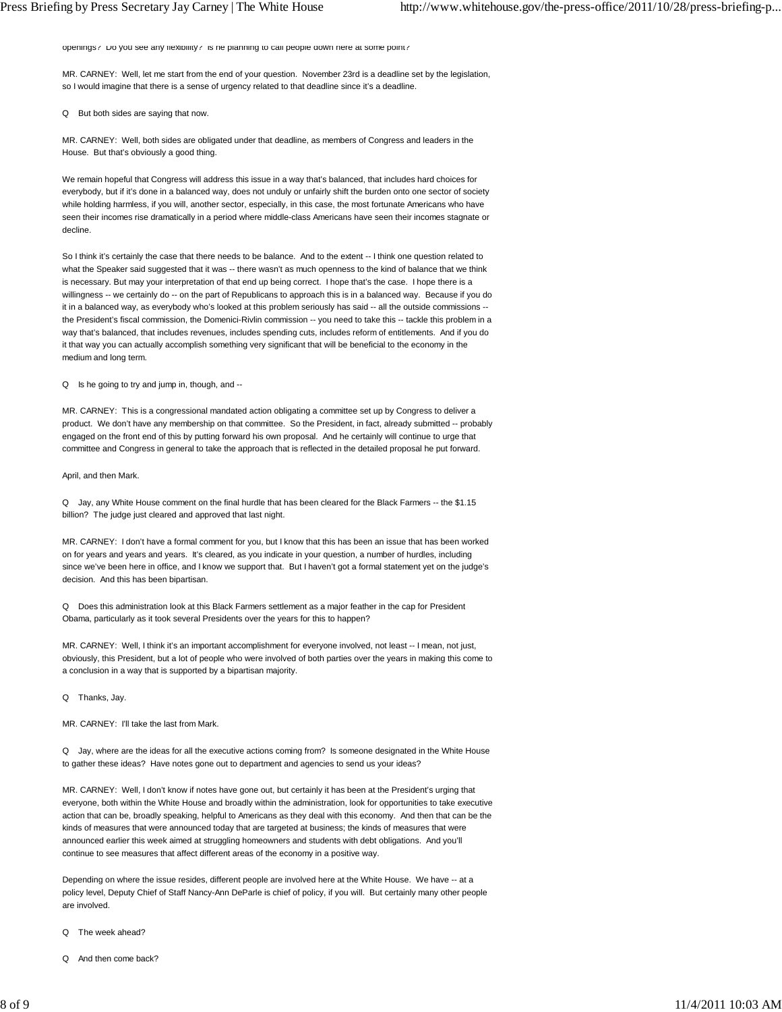openings? Do you see any flexibility? Is he planning to call people down here at some point?

MR. CARNEY: Well, let me start from the end of your question. November 23rd is a deadline set by the legislation, so I would imagine that there is a sense of urgency related to that deadline since it's a deadline.

Q But both sides are saying that now.

MR. CARNEY: Well, both sides are obligated under that deadline, as members of Congress and leaders in the House. But that's obviously a good thing.

We remain hopeful that Congress will address this issue in a way that's balanced, that includes hard choices for everybody, but if it's done in a balanced way, does not unduly or unfairly shift the burden onto one sector of society while holding harmless, if you will, another sector, especially, in this case, the most fortunate Americans who have seen their incomes rise dramatically in a period where middle-class Americans have seen their incomes stagnate or decline.

So I think it's certainly the case that there needs to be balance. And to the extent -- I think one question related to what the Speaker said suggested that it was -- there wasn't as much openness to the kind of balance that we think is necessary. But may your interpretation of that end up being correct. I hope that's the case. I hope there is a willingness -- we certainly do -- on the part of Republicans to approach this is in a balanced way. Because if you do it in a balanced way, as everybody who's looked at this problem seriously has said -- all the outside commissions - the President's fiscal commission, the Domenici-Rivlin commission -- you need to take this -- tackle this problem in a way that's balanced, that includes revenues, includes spending cuts, includes reform of entitlements. And if you do it that way you can actually accomplish something very significant that will be beneficial to the economy in the medium and long term.

Q Is he going to try and jump in, though, and --

MR. CARNEY: This is a congressional mandated action obligating a committee set up by Congress to deliver a product. We don't have any membership on that committee. So the President, in fact, already submitted -- probably engaged on the front end of this by putting forward his own proposal. And he certainly will continue to urge that committee and Congress in general to take the approach that is reflected in the detailed proposal he put forward.

April, and then Mark.

Q Jay, any White House comment on the final hurdle that has been cleared for the Black Farmers -- the \$1.15 billion? The judge just cleared and approved that last night.

MR. CARNEY: I don't have a formal comment for you, but I know that this has been an issue that has been worked on for years and years and years. It's cleared, as you indicate in your question, a number of hurdles, including since we've been here in office, and I know we support that. But I haven't got a formal statement yet on the judge's decision. And this has been bipartisan.

Q Does this administration look at this Black Farmers settlement as a major feather in the cap for President Obama, particularly as it took several Presidents over the years for this to happen?

MR. CARNEY: Well, I think it's an important accomplishment for everyone involved, not least -- I mean, not just, obviously, this President, but a lot of people who were involved of both parties over the years in making this come to a conclusion in a way that is supported by a bipartisan majority.

Q Thanks, Jay.

MR. CARNEY: I'll take the last from Mark.

Q Jay, where are the ideas for all the executive actions coming from? Is someone designated in the White House to gather these ideas? Have notes gone out to department and agencies to send us your ideas?

MR. CARNEY: Well, I don't know if notes have gone out, but certainly it has been at the President's urging that everyone, both within the White House and broadly within the administration, look for opportunities to take executive action that can be, broadly speaking, helpful to Americans as they deal with this economy. And then that can be the kinds of measures that were announced today that are targeted at business; the kinds of measures that were announced earlier this week aimed at struggling homeowners and students with debt obligations. And you'll continue to see measures that affect different areas of the economy in a positive way.

Depending on where the issue resides, different people are involved here at the White House. We have -- at a policy level, Deputy Chief of Staff Nancy-Ann DeParle is chief of policy, if you will. But certainly many other people are involved.

- Q The week ahead?
- Q And then come back?